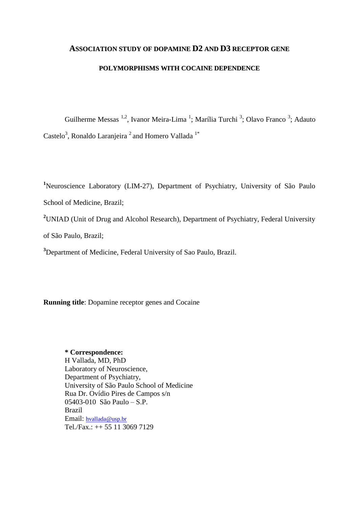# **ASSOCIATION STUDY OF DOPAMINE D2 AND D3 RECEPTOR GENE**

### **POLYMORPHISMS WITH COCAINE DEPENDENCE**

Guilherme Messas <sup>1,2</sup>, Ivanor Meira-Lima <sup>1</sup>; Marília Turchi <sup>3</sup>; Olavo Franco <sup>3</sup>; Adauto Castelo<sup>3</sup>, Ronaldo Laranjeira<sup>2</sup> and Homero Vallada<sup>1\*</sup>

**<sup>1</sup>**Neuroscience Laboratory (LIM-27), Department of Psychiatry, University of São Paulo School of Medicine, Brazil;

**<sup>2</sup>**UNIAD (Unit of Drug and Alcohol Research), Department of Psychiatry, Federal University

of São Paulo, Brazil;

**<sup>3</sup>**Department of Medicine, Federal University of Sao Paulo, Brazil.

**Running title**: Dopamine receptor genes and Cocaine

# **\* Correspondence:**

H Vallada, MD, PhD Laboratory of Neuroscience, Department of Psychiatry, University of São Paulo School of Medicine Rua Dr. Ovídio Pires de Campos s/n 05403-010 São Paulo – S.P. Brazil Email: [hvallada@usp.br](mailto:hvallada@usp.br) Tel./Fax.: ++ 55 11 3069 7129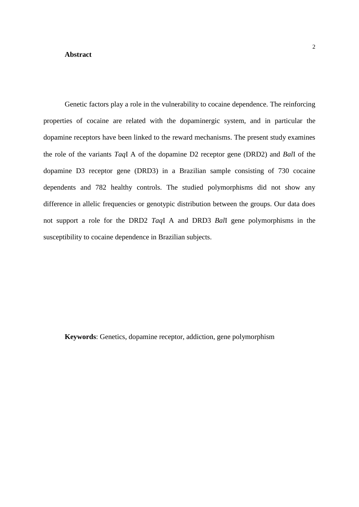#### **Abstract**

Genetic factors play a role in the vulnerability to cocaine dependence. The reinforcing properties of cocaine are related with the dopaminergic system, and in particular the dopamine receptors have been linked to the reward mechanisms. The present study examines the role of the variants *Taq*I A of the dopamine D2 receptor gene (DRD2) and *Bal*I of the dopamine D3 receptor gene (DRD3) in a Brazilian sample consisting of 730 cocaine dependents and 782 healthy controls. The studied polymorphisms did not show any

difference in allelic frequencies or genotypic distribution between the groups. Our data does not support a role for the DRD2 *Taq*I A and DRD3 *Bal*I gene polymorphisms in the susceptibility to cocaine dependence in Brazilian subjects.

**Keywords**: Genetics, dopamine receptor, addiction, gene polymorphism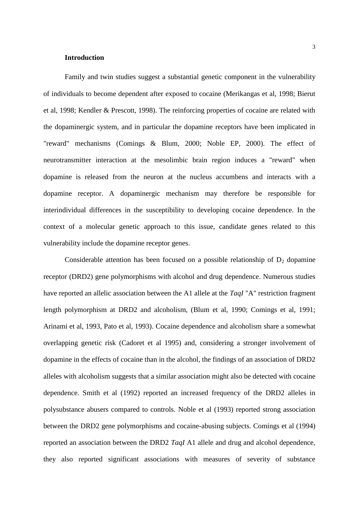## **Introduction**

Family and twin studies suggest a substantial genetic component in the vulnerability of individuals to become dependent after exposed to cocaine (Merikangas et al, 1998; Bierut et al, 1998; Kendler & Prescott, 1998). The reinforcing properties of cocaine are related with the dopaminergic system, and in particular the dopamine receptors have been implicated in "reward" mechanisms (Comings & Blum, 2000; Noble EP, 2000). The effect of neurotransmitter interaction at the mesolimbic brain region induces a "reward" when dopamine is released from the neuron at the nucleus accumbens and interacts with a dopamine receptor. A dopaminergic mechanism may therefore be responsible for interindividual differences in the susceptibility to developing cocaine dependence. In the context of a molecular genetic approach to this issue, candidate genes related to this vulnerability include the dopamine receptor genes.

Considerable attention has been focused on a possible relationship of  $D_2$  dopamine receptor (DRD2) gene polymorphisms with alcohol and drug dependence. Numerous studies have reported an allelic association between the A1 allele at the *TaqI* "A" restriction fragment length polymorphism at DRD2 and alcoholism, (Blum et al, 1990; Comings et al, 1991; Arinami et al, 1993, Pato et al, 1993). Cocaine dependence and alcoholism share a somewhat overlapping genetic risk (Cadoret et al 1995) and, considering a stronger involvement of dopamine in the effects of cocaine than in the alcohol, the findings of an association of DRD2 alleles with alcoholism suggests that a similar association might also be detected with cocaine dependence. Smith et al (1992) reported an increased frequency of the DRD2 alleles in polysubstance abusers compared to controls. Noble et al (1993) reported strong association between the DRD2 gene polymorphisms and cocaine-abusing subjects. Comings et al (1994) reported an association between the DRD2 *TaqI* A1 allele and drug and alcohol dependence, they also reported significant associations with measures of severity of substance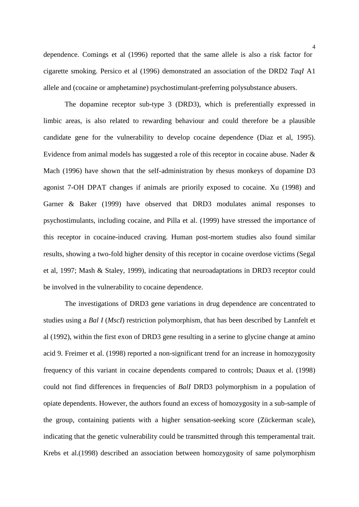dependence. Comings et al (1996) reported that the same allele is also a risk factor for cigarette smoking. Persico et al (1996) demonstrated an association of the DRD2 *TaqI* A1 allele and (cocaine or amphetamine) psychostimulant-preferring polysubstance abusers.

The dopamine receptor sub-type 3 (DRD3), which is preferentially expressed in limbic areas, is also related to rewarding behaviour and could therefore be a plausible candidate gene for the vulnerability to develop cocaine dependence (Diaz et al, 1995). Evidence from animal models has suggested a role of this receptor in cocaine abuse. Nader & Mach (1996) have shown that the self-administration by rhesus monkeys of dopamine D3 agonist 7-OH DPAT changes if animals are priorily exposed to cocaine. Xu (1998) and Garner & Baker (1999) have observed that DRD3 modulates animal responses to psychostimulants, including cocaine, and Pilla et al. (1999) have stressed the importance of this receptor in cocaine-induced craving. Human post-mortem studies also found similar results, showing a two-fold higher density of this receptor in cocaine overdose victims (Segal et al, 1997; Mash & Staley, 1999), indicating that neuroadaptations in DRD3 receptor could be involved in the vulnerability to cocaine dependence.

The investigations of DRD3 gene variations in drug dependence are concentrated to studies using a *Bal I* (*MscI*) restriction polymorphism, that has been described by Lannfelt et al (1992), within the first exon of DRD3 gene resulting in a serine to glycine change at amino acid 9. Freimer et al. (1998) reported a non-significant trend for an increase in homozygosity frequency of this variant in cocaine dependents compared to controls; Duaux et al. (1998) could not find differences in frequencies of *BalI* DRD3 polymorphism in a population of opiate dependents. However, the authors found an excess of homozygosity in a sub-sample of the group, containing patients with a higher sensation-seeking score (Zückerman scale), indicating that the genetic vulnerability could be transmitted through this temperamental trait. Krebs et al.(1998) described an association between homozygosity of same polymorphism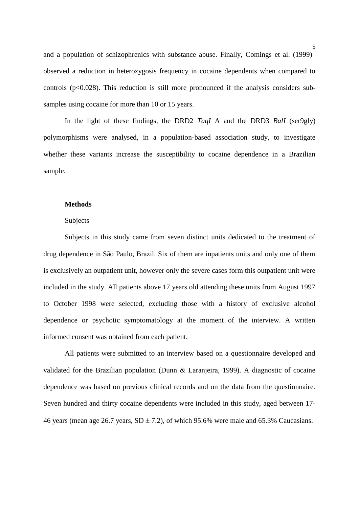and a population of schizophrenics with substance abuse. Finally, Comings et al. (1999) observed a reduction in heterozygosis frequency in cocaine dependents when compared to controls ( $p<0.028$ ). This reduction is still more pronounced if the analysis considers subsamples using cocaine for more than 10 or 15 years.

In the light of these findings, the DRD2 *TaqI* A and the DRD3 *BalI* (ser9gly) polymorphisms were analysed, in a population-based association study, to investigate whether these variants increase the susceptibility to cocaine dependence in a Brazilian sample.

### **Methods**

## Subjects

Subjects in this study came from seven distinct units dedicated to the treatment of drug dependence in São Paulo, Brazil. Six of them are inpatients units and only one of them is exclusively an outpatient unit, however only the severe cases form this outpatient unit were included in the study. All patients above 17 years old attending these units from August 1997 to October 1998 were selected, excluding those with a history of exclusive alcohol dependence or psychotic symptomatology at the moment of the interview. A written informed consent was obtained from each patient.

All patients were submitted to an interview based on a questionnaire developed and validated for the Brazilian population (Dunn & Laranjeira, 1999). A diagnostic of cocaine dependence was based on previous clinical records and on the data from the questionnaire. Seven hundred and thirty cocaine dependents were included in this study, aged between 17- 46 years (mean age 26.7 years,  $SD \pm 7.2$ ), of which 95.6% were male and 65.3% Caucasians.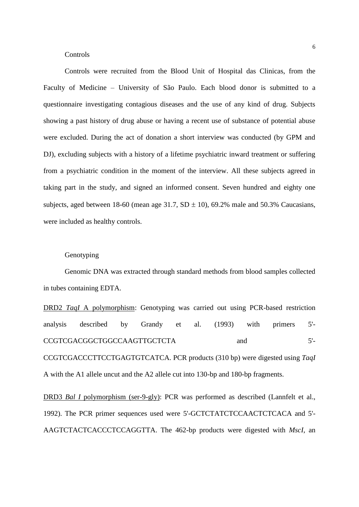### **Controls**

Controls were recruited from the Blood Unit of Hospital das Clinicas, from the Faculty of Medicine – University of São Paulo. Each blood donor is submitted to a questionnaire investigating contagious diseases and the use of any kind of drug. Subjects showing a past history of drug abuse or having a recent use of substance of potential abuse were excluded. During the act of donation a short interview was conducted (by GPM and DJ), excluding subjects with a history of a lifetime psychiatric inward treatment or suffering from a psychiatric condition in the moment of the interview. All these subjects agreed in taking part in the study, and signed an informed consent. Seven hundred and eighty one subjects, aged between 18-60 (mean age 31.7,  $SD \pm 10$ ), 69.2% male and 50.3% Caucasians, were included as healthy controls.

### Genotyping

Genomic DNA was extracted through standard methods from blood samples collected in tubes containing EDTA.

DRD2 *TaqI* A polymorphism: Genotyping was carried out using PCR-based restriction analysis described by Grandy et al. (1993) with primers 5'- CCGTCGACGGCTGGCCAAGTTGCTCTA and 5'- CCGTCGACCCTTCCTGAGTGTCATCA. PCR products (310 bp) were digested using *TaqI* A with the A1 allele uncut and the A2 allele cut into 130-bp and 180-bp fragments.

DRD3 *Bal I* polymorphism (ser-9-gly): PCR was performed as described (Lannfelt et al., 1992). The PCR primer sequences used were 5'-GCTCTATCTCCAACTCTCACA and 5'- AAGTCTACTCACCCTCCAGGTTA. The 462-bp products were digested with *MscI*, an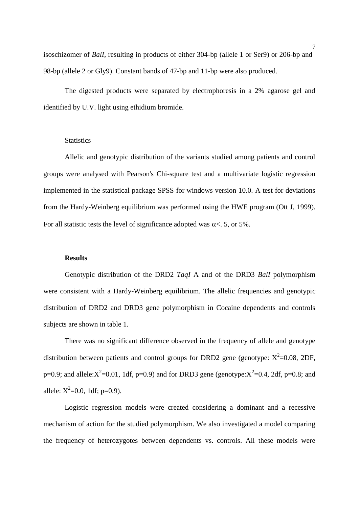isoschizomer of *BalI*, resulting in products of either 304-bp (allele 1 or Ser9) or 206-bp and 98-bp (allele 2 or Gly9). Constant bands of 47-bp and 11-bp were also produced.

The digested products were separated by electrophoresis in a 2% agarose gel and identified by U.V. light using ethidium bromide.

#### **Statistics**

Allelic and genotypic distribution of the variants studied among patients and control groups were analysed with Pearson's Chi-square test and a multivariate logistic regression implemented in the statistical package SPSS for windows version 10.0. A test for deviations from the Hardy-Weinberg equilibrium was performed using the HWE program (Ott J, 1999). For all statistic tests the level of significance adopted was  $\alpha < 5$ , or 5%.

#### **Results**

Genotypic distribution of the DRD2 *TaqI* A and of the DRD3 *BalI* polymorphism were consistent with a Hardy-Weinberg equilibrium. The allelic frequencies and genotypic distribution of DRD2 and DRD3 gene polymorphism in Cocaine dependents and controls subjects are shown in table 1.

There was no significant difference observed in the frequency of allele and genotype distribution between patients and control groups for DRD2 gene (genotype:  $X^2$ =0.08, 2DF, p=0.9; and allele: $X^2$ =0.01, 1df, p=0.9) and for DRD3 gene (genotype: $X^2$ =0.4, 2df, p=0.8; and allele:  $X^2=0.0$ , 1df; p=0.9).

Logistic regression models were created considering a dominant and a recessive mechanism of action for the studied polymorphism. We also investigated a model comparing the frequency of heterozygotes between dependents vs. controls. All these models were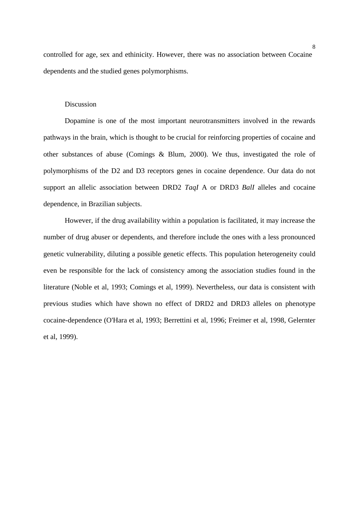controlled for age, sex and ethinicity. However, there was no association between Cocaine dependents and the studied genes polymorphisms.

### **Discussion**

Dopamine is one of the most important neurotransmitters involved in the rewards pathways in the brain, which is thought to be crucial for reinforcing properties of cocaine and other substances of abuse (Comings & Blum, 2000). We thus, investigated the role of polymorphisms of the D2 and D3 receptors genes in cocaine dependence. Our data do not support an allelic association between DRD2 *TaqI* A or DRD3 *BalI* alleles and cocaine dependence, in Brazilian subjects.

However, if the drug availability within a population is facilitated, it may increase the number of drug abuser or dependents, and therefore include the ones with a less pronounced genetic vulnerability, diluting a possible genetic effects. This population heterogeneity could even be responsible for the lack of consistency among the association studies found in the literature (Noble et al, 1993; Comings et al, 1999). Nevertheless, our data is consistent with previous studies which have shown no effect of DRD2 and DRD3 alleles on phenotype cocaine-dependence (O'Hara et al, 1993; Berrettini et al, 1996; Freimer et al, 1998, Gelernter et al, 1999).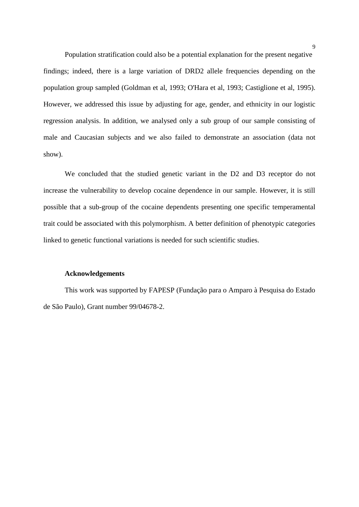Population stratification could also be a potential explanation for the present negative findings; indeed, there is a large variation of DRD2 allele frequencies depending on the population group sampled (Goldman et al, 1993; O'Hara et al, 1993; Castiglione et al, 1995). However, we addressed this issue by adjusting for age, gender, and ethnicity in our logistic regression analysis. In addition, we analysed only a sub group of our sample consisting of male and Caucasian subjects and we also failed to demonstrate an association (data not show).

We concluded that the studied genetic variant in the D2 and D3 receptor do not increase the vulnerability to develop cocaine dependence in our sample. However, it is still possible that a sub-group of the cocaine dependents presenting one specific temperamental trait could be associated with this polymorphism. A better definition of phenotypic categories linked to genetic functional variations is needed for such scientific studies.

#### **Acknowledgements**

This work was supported by FAPESP (Fundação para o Amparo à Pesquisa do Estado de São Paulo), Grant number 99/04678-2.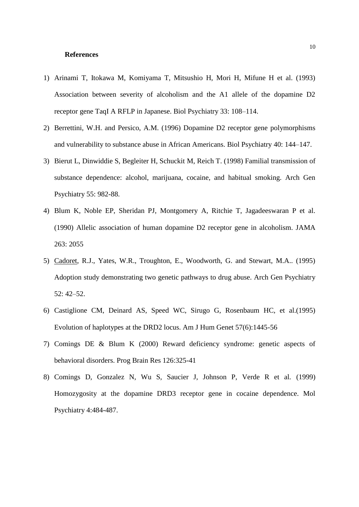#### **References**

- 1) Arinami T, Itokawa M, Komiyama T, Mitsushio H, Mori H, Mifune H et al. (1993) Association between severity of alcoholism and the A1 allele of the dopamine D2 receptor gene TaqI A RFLP in Japanese. Biol Psychiatry 33: 108–114.
- 2) Berrettini, W.H. and Persico, A.M. (1996) Dopamine D2 receptor gene polymorphisms and vulnerability to substance abuse in African Americans. Biol Psychiatry 40: 144–147.
- 3) Bierut L, Dinwiddie S, Begleiter H, Schuckit M, Reich T. (1998) Familial transmission of substance dependence: alcohol, marijuana, cocaine, and habitual smoking. Arch Gen Psychiatry 55: 982-88.
- 4) Blum K, Noble EP, Sheridan PJ, Montgomery A, Ritchie T, Jagadeeswaran P et al. (1990) Allelic association of human dopamine D2 receptor gene in alcoholism. JAMA 263: 2055
- 5) Cadoret, R.J., Yates, W.R., Troughton, E., Woodworth, G. and Stewart, M.A.. (1995) Adoption study demonstrating two genetic pathways to drug abuse. Arch Gen Psychiatry 52: 42–52.
- 6) Castiglione CM, Deinard AS, Speed WC, Sirugo G, Rosenbaum HC, et al.(1995) Evolution of haplotypes at the DRD2 locus. Am J Hum Genet 57(6):1445-56
- 7) Comings DE & Blum K (2000) Reward deficiency syndrome: genetic aspects of behavioral disorders. Prog Brain Res 126:325-41
- 8) Comings D, Gonzalez N, Wu S, Saucier J, Johnson P, Verde R et al. (1999) Homozygosity at the dopamine DRD3 receptor gene in cocaine dependence. Mol Psychiatry 4:484-487.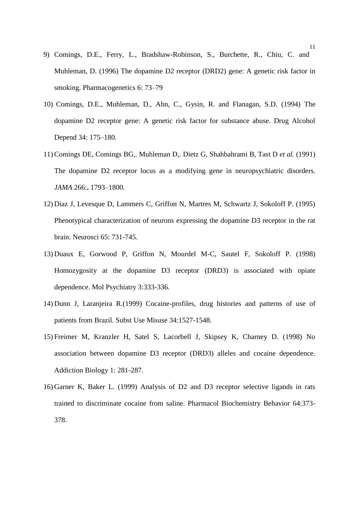- 9) Comings, D.E., Ferry, L., Bradshaw-Robinson, S., Burchette, R., Chiu, C. and Muhleman, D. (1996) The dopamine D2 receptor (DRD2) gene: A genetic risk factor in smoking. Pharmacogenetics 6: 73–79
- 10) Comings, D.E., Muhleman, D., Ahn, C., Gysin, R. and Flanagan, S.D. (1994) The dopamine D2 receptor gene: A genetic risk factor for substance abuse. Drug Alcohol Depend 34: 175–180.
- 11) Comings DE, Comings BG,. Muhleman D,. Dietz G, Shahbahrami B, Tast D *et al.* (1991) The dopamine D2 receptor locus as a modifying gene in neuropsychiatric disorders. *JAMA* 266:**.** 1793–1800.
- 12) Diaz J, Levesque D, Lammers C, Griffon N, Martres M, Schwartz J, Sokoloff P. (1995) Phenotypical characterization of neurons expressing the dopamine D3 receptor in the rat brain. Neurosci 65: 731-745.
- 13) Duaux E, Gorwood P, Griffon N, Mourdel M-C, Sautel F, Sokoloff P. (1998) Homozygosity at the dopamine D3 receptor (DRD3) is associated with opiate dependence. Mol Psychiatry 3:333-336.
- 14) Dunn J, Laranjeira R.(1999) Cocaine-profiles, drug histories and patterns of use of patients from Brazil. Subst Use Misuse 34:1527-1548.
- 15) Freimer M, Kranzler H, Satel S, Lacorbell J, Skipsey K, Charney D. (1998) No association between dopamine D3 receptor (DRD3) alleles and cocaine dependence. Addiction Biology 1: 281-287.
- 16) Garner K, Baker L. (1999) Analysis of D2 and D3 receptor selective ligands in rats trained to discriminate cocaine from saline. Pharmacol Biochemistry Behavior 64:373- 378.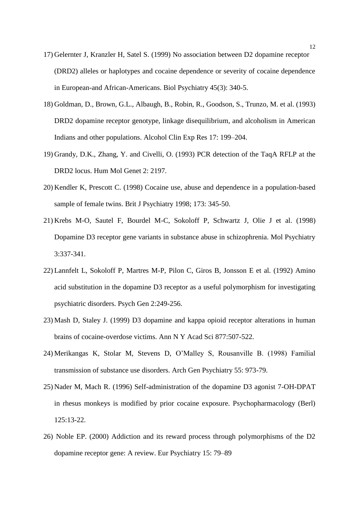- 17) Gelernter J, Kranzler H, Satel S. (1999) No association between D2 dopamine receptor (DRD2) alleles or haplotypes and cocaine dependence or severity of cocaine dependence in European-and African-Americans. Biol Psychiatry 45(3): 340-5.
- 18) Goldman, D., Brown, G.L., Albaugh, B., Robin, R., Goodson, S., Trunzo, M. et al. (1993) DRD2 dopamine receptor genotype, linkage disequilibrium, and alcoholism in American Indians and other populations. Alcohol Clin Exp Res 17: 199–204.
- 19) Grandy, D.K., Zhang, Y. and Civelli, O. (1993) PCR detection of the TaqA RFLP at the DRD2 locus. Hum Mol Genet 2: 2197.
- 20) Kendler K, Prescott C. (1998) Cocaine use, abuse and dependence in a population-based sample of female twins. Brit J Psychiatry 1998; 173: 345-50.
- 21) Krebs M-O, Sautel F, Bourdel M-C, Sokoloff P, Schwartz J, Olie J et al. (1998) Dopamine D3 receptor gene variants in substance abuse in schizophrenia. Mol Psychiatry 3:337-341.
- 22) Lannfelt L, Sokoloff P, Martres M-P, Pilon C, Giros B, Jonsson E et al. (1992) Amino acid substitution in the dopamine D3 receptor as a useful polymorphism for investigating psychiatric disorders. Psych Gen 2:249-256.
- 23) Mash D, Staley J. (1999) D3 dopamine and kappa opioid receptor alterations in human brains of cocaine-overdose victims. Ann N Y Acad Sci 877:507-522.
- 24) Merikangas K, Stolar M, Stevens D, O'Malley S, Rousanville B. (1998) Familial transmission of substance use disorders. Arch Gen Psychiatry 55: 973-79.
- 25) Nader M, Mach R. (1996) Self-administration of the dopamine D3 agonist 7-OH-DPAT in rhesus monkeys is modified by prior cocaine exposure. Psychopharmacology (Berl) 125:13-22.
- 26) Noble EP. (2000) Addiction and its reward process through polymorphisms of the D2 dopamine receptor gene: A review. Eur Psychiatry 15: 79–89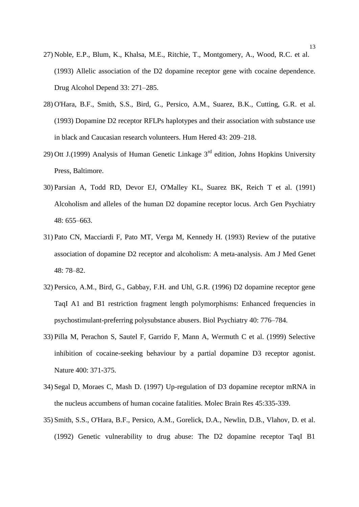- 27) Noble, E.P., Blum, K., Khalsa, M.E., Ritchie, T., Montgomery, A., Wood, R.C. et al. (1993) Allelic association of the D2 dopamine receptor gene with cocaine dependence. Drug Alcohol Depend 33: 271–285.
- 28) O'Hara, B.F., Smith, S.S., Bird, G., Persico, A.M., Suarez, B.K., Cutting, G.R. et al. (1993) Dopamine D2 receptor RFLPs haplotypes and their association with substance use in black and Caucasian research volunteers. Hum Hered 43: 209–218.
- 29) Ott J.(1999) Analysis of Human Genetic Linkage  $3<sup>rd</sup>$  edition, Johns Hopkins University Press, Baltimore.
- 30) Parsian A, Todd RD, Devor EJ, O'Malley KL, Suarez BK, Reich T et al. (1991) Alcoholism and alleles of the human D2 dopamine receptor locus. Arch Gen Psychiatry 48: 655–663.
- 31) Pato CN, Macciardi F, Pato MT, Verga M, Kennedy H. (1993) Review of the putative association of dopamine D2 receptor and alcoholism: A meta-analysis. Am J Med Genet 48: 78–82.
- 32) Persico, A.M., Bird, G., Gabbay, F.H. and Uhl, G.R. (1996) D2 dopamine receptor gene TaqI A1 and B1 restriction fragment length polymorphisms: Enhanced frequencies in psychostimulant-preferring polysubstance abusers. Biol Psychiatry 40: 776–784.
- 33) Pilla M, Perachon S, Sautel F, Garrido F, Mann A, Wermuth C et al. (1999) Selective inhibition of cocaine-seeking behaviour by a partial dopamine D3 receptor agonist. Nature 400: 371-375.
- 34) Segal D, Moraes C, Mash D. (1997) Up-regulation of D3 dopamine receptor mRNA in the nucleus accumbens of human cocaine fatalities. Molec Brain Res 45:335-339.
- 35) Smith, S.S., O'Hara, B.F., Persico, A.M., Gorelick, D.A., Newlin, D.B., Vlahov, D. et al. (1992) Genetic vulnerability to drug abuse: The D2 dopamine receptor TaqI B1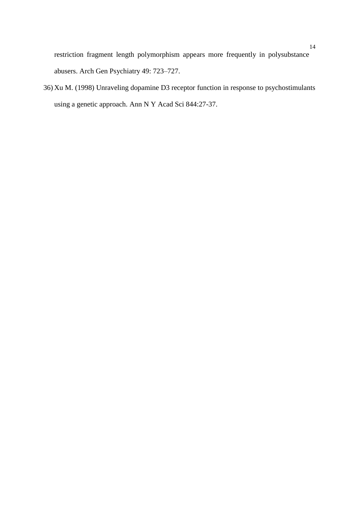restriction fragment length polymorphism appears more frequently in polysubstance abusers. Arch Gen Psychiatry 49: 723–727.

36) Xu M. (1998) Unraveling dopamine D3 receptor function in response to psychostimulants using a genetic approach. Ann N Y Acad Sci 844:27-37.